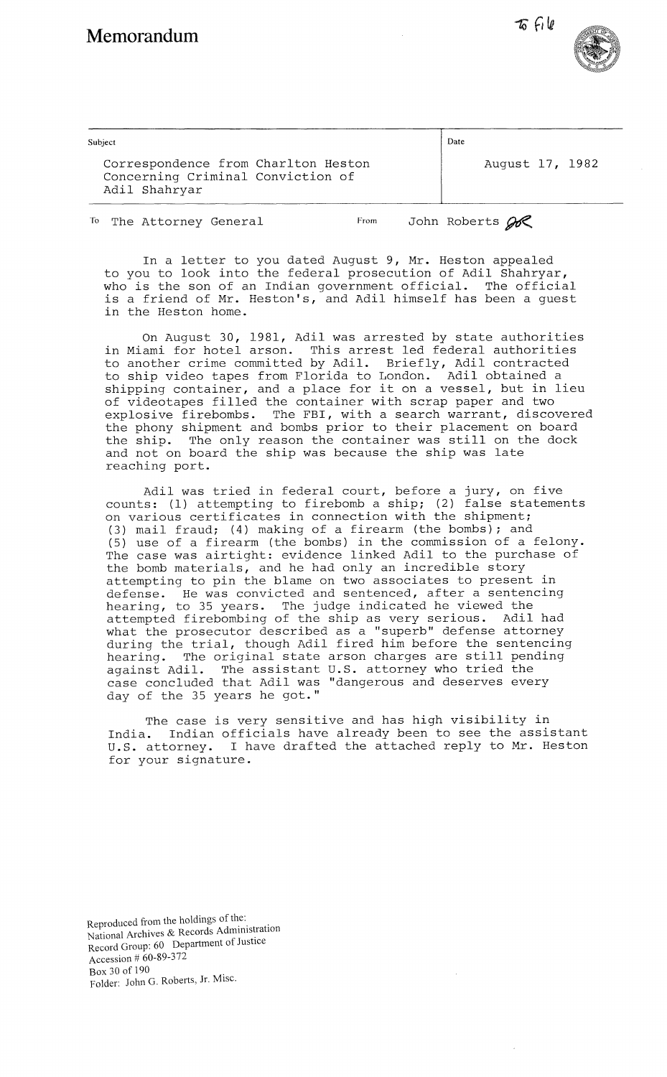$\tau_0$  file



| Subject                                                                                   | Date |                 |  |
|-------------------------------------------------------------------------------------------|------|-----------------|--|
| Correspondence from Charlton Heston<br>Concerning Criminal Conviction of<br>Adil Shahryar |      | August 17, 1982 |  |

To The Attorney General From John Roberts  $\mathscr{B}$ 

In a letter to you dated August 9, Mr. Heston appealed to you to look into the federal prosecution of Adil Shahryar, who is the son of an Indian government official. The official is a friend of Mr. Heston's, and Adil himself has been a guest in the Heston home.

On August 30, 1981, Adil was arrested by state authorities in Miami for hotel arson. This arrest led federal authorities to another crime committed by Adil. Briefly, Adil contracted to ship video tapes from Florida to London. Adil obtained a shipping container, and a place for it on a vessel, but in lieu of videotapes filled the container with scrap paper and two explosive firebombs. The FBI, with a search warrant, discovered the phony shipment and bombs prior to their placement on board the ship. The only reason the container was still on the dock and not on board the ship was because the ship was late reaching port.

Adil was tried in federal court, before a jury, on five counts: (1) attempting to firebomb a ship; (2) false statements on various certificates in connection with the shipment; (3) mail fraud; (4) making of a firearm (the bombs); and (5) use of a firearm (the bombs) in the commission of a felony. The case was airtight: evidence linked Adil to the purchase of the bomb materials, and he had only an incredible story attempting to pin the blame on two associates to present in defense. He was convicted and sentenced, after a sentencing hearing, to 35 years. The judge indicated he viewed the attempted firebombing of the ship as very serious. Adil had what the prosecutor described as a "superb" defense attorney during the trial, though Adil fired him before the sentencing hearing. The original state arson charges are still pending against Adil. The assistant U.S. attorney who tried the case concluded that Adil was "dangerous and deserves every day of the 35 years he got."

The case is very sensitive and has high visibility in India. Indian officials have already been to see the assistant<br>U.S. attorney. I have drafted the attached reply to Mr. Heston I have drafted the attached reply to Mr. Heston for your signature.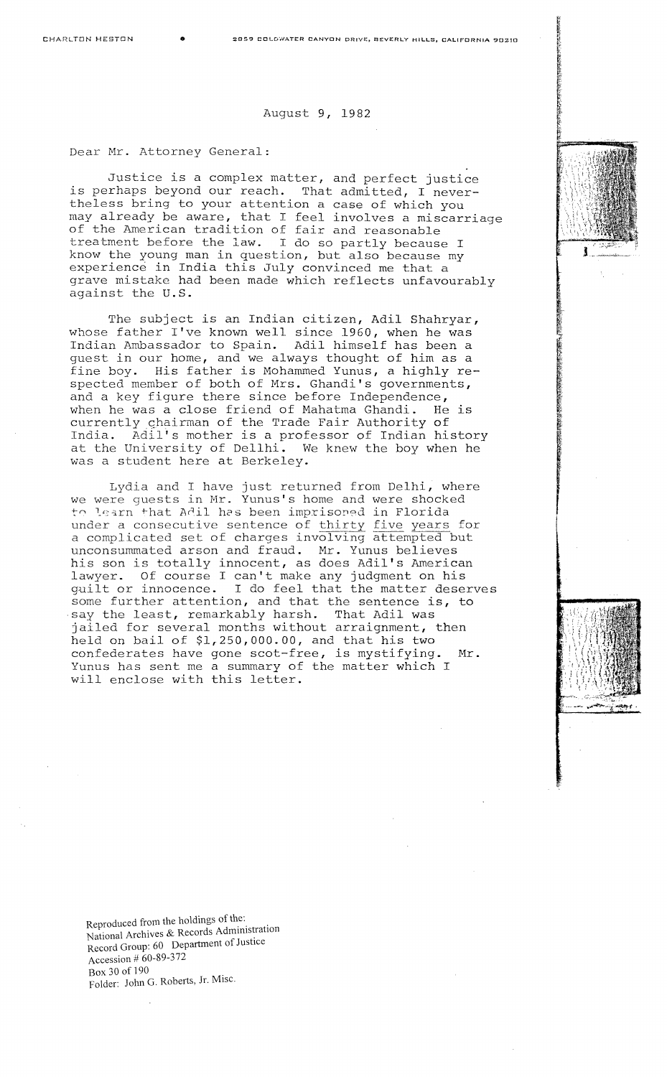## August 9, 1982

Dear Mr. Attorney General:

Justice is a complex matter, and perfect justice is perhaps beyond our reach. That admitted, I nevertheless bring to your attention a case of which you may already be aware, that I feel involves a miscarriage of the American tradition of fair and reasonable treatment before the law. I do so partly because I know the young man in question, but also because my experience in India this July convinced me that a grave mistake had been made which reflects unfavourably against the U.S.

The subject is an Indian citizen, Adil Shahryar, whose father I've known well since 1960, when he was Indian Ambassador to Spain. Adil himself has been a guest in our home, and we always thought of him as a fine boy. His father is Mohammed Yunus, a highly respected member of both of Mrs. Ghandi's governments, and a key figure there since before Independence, when he was a close friend of Mahatma Ghandi. He is currently chairman of the Trade Fair Authority of India. Adil's mother is a professor of Indian history at the University of Dellhi. We knew the boy when he was a student here at Berkeley.

Lydia and I have just returned from Delhi, where we were guests in Mr. Yunus's home and were shocked to learn that Adil has been imprisoned in Florida under a consecutive sentence of thirty five years for a complicated set of charges involving attempted but unconsummated arson and fraud. Mr. Yunus believes his son is totally innocent, as does Adil's American lawyer. Of course I can't make any judgment on his guilt or innocence. I do feel that the matter deserves some further attention, and that the sentence is, to say the least, remarkably harsh. That Adil was jailed for several months without arraignment, then held on bail of \$1,250,000.00, and that his two confederates have gone scot-free, is mystifying. Mr. Yunus has sent me a summary of the matter which I will enclose with this letter.

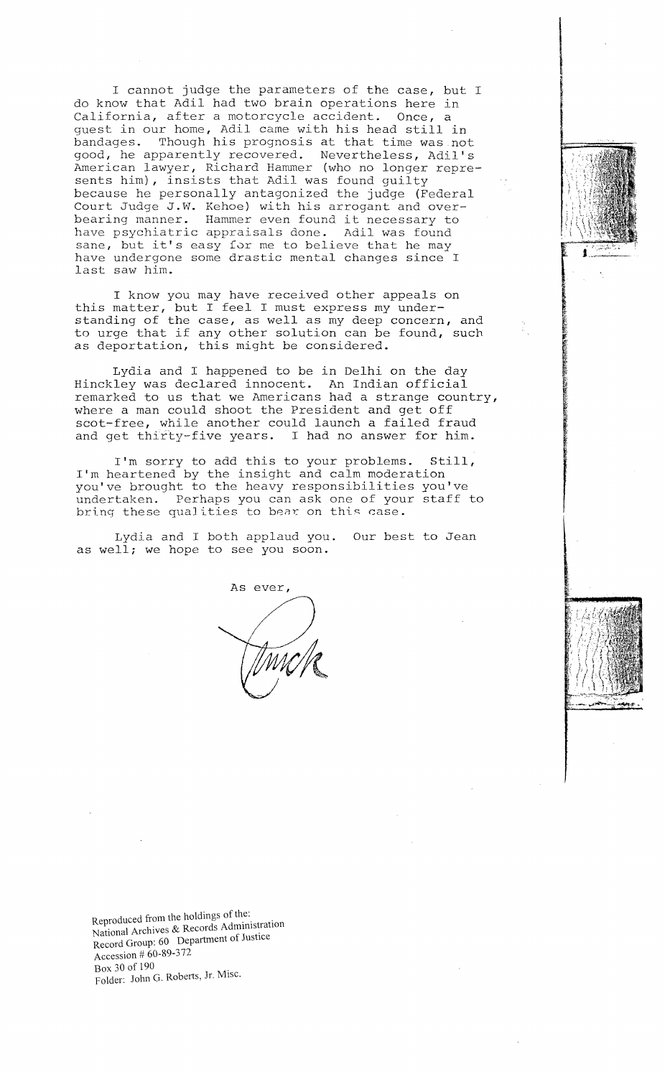<sup>I</sup>cannot judge the parameters of the case, but I do know that Adil had two brain operations here in California, after a motorcycle accident. Once, a guest in our home, Adil came with his head still in bandages. Though his prognosis at that time was-not good, he apparently recovered. Nevertheless, Adil's American lawyer, Richard Hammer (who no longer represents him), insists that Adil was found guilty because he personally antagonized the judge (Federal Court Judge J.W. Kehoe) with his arrogant and overbearing manner. Hammer even found it necessary to have psychiatric appraisals done. Adil was found sane, but it's easy for me to believe that he may have undergone some drastic mental changes since I last saw him.

I know you may have received other appeals on this matter, but I feel I must express my understanding of the case, as well as my deep concern, and to urge that if any other solution can be found, such as deportation, this might be considered.

Lydia and I happened to be in Delhi on the day Hinckley was declared innocent. An Indian official remarked to us that we Americans had a strange country, where a man could shoot the President and get off scot-free, while another could launch a failed fraud and get thirty-five years. I had no answer for him.

I'm sorry to add this to your problems. Still, I'm heartened by the insight and calm moderation you've brought to the heavy responsibilities you've undertaken. Perhaps you can ask one of your staff to bring these qualities to bear on this case.

Lydia and I both applaud you. Our best to Jean as well; we hope to see you soon.

As ever,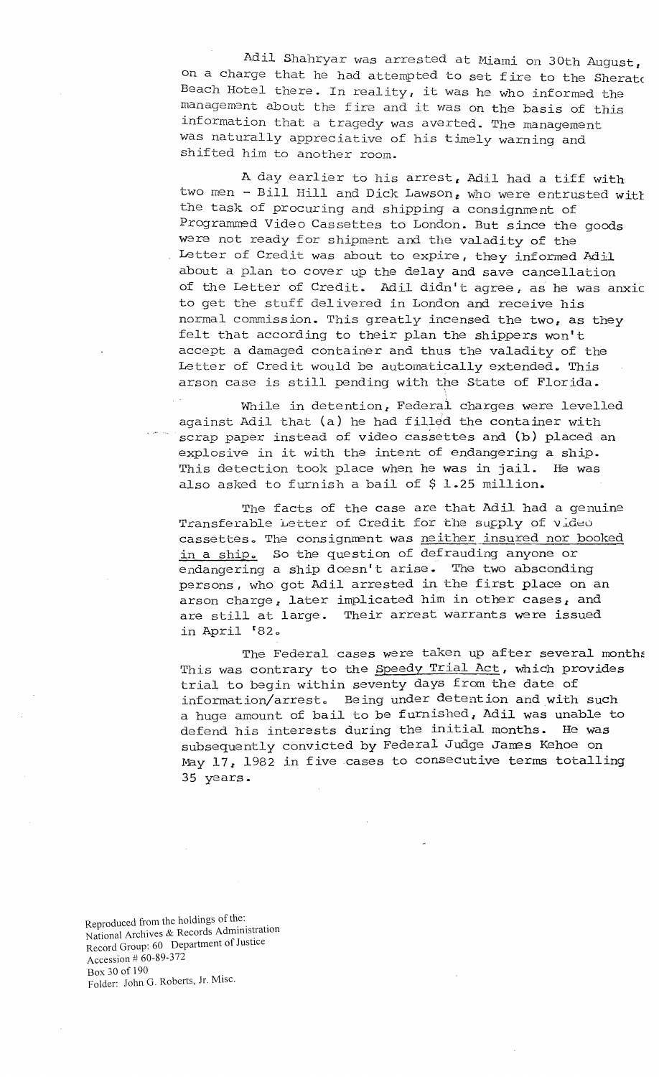Adil Shahryar was arrested at Miami on 30th August, on a charge that he had attempted to set fire to the Sheratc Beach Hotel there. In reality, it was he who informed the management about the fire and it was on the basis of this information that a tragedy was averted. The management was naturally appreciative of his timely warning and shifted him to another room.

A day earlier to his arrest, Adil had a tiff with two men - Bill Hill and Dick Lawson, who were entrusted with the task of procuring and shipping a consignment of Programmed Video Cassettes to London. But since the goods were not ready for shipment and the valadity of the Letter of Credit was about to expire, they informed Adil about a plan to cover up the delay and save cancellation of the Letter of Credit. Adil didn't agree, as he was anxic to get the stuff delivered in London and receive his normal commission. This greatly incensed the two, as they felt that according to their plan the shippers won't accept a damaged container and thus the valadity of the Letter of Credit would be automatically extended. This arson case is still pending with the State of Florida.

Wnile in detention, Federal charges were levelled against Adil that (a) he had filled the container with scrap paper instead of video cassettes and (b) placed an explosive in it with the intent of endangering a ship. This detection took place when he was in jail. He was also asked to furnish a bail of \$ 1.25 million.

The facts of the case are that Adil had a genuine Transferable Letter of Credit for the supply of video cassettes. The consignment was neither insured nor booked in a ship. So the question of defrauding anyone or endangering a ship doesn't arise. The two absconding persons, who got Adil arrested in the first place on an arson charge, later implicated him in other cases, and are still at large. Their arrest warrants were issued in April '82o

The Federal cases were taken up after several months This was contrary to the Speedy Trial Act, which provides trial to begin within seventy days from the date of information/arrest. Being under detention and with such a huge amount of bail to be furnished, Adil was unable to defend his interests during the initial months. He was subsequently convicted by Federal Judge James Kehoe on May 17, 1982 in five .cases to consecutive terms totalling 35 years.